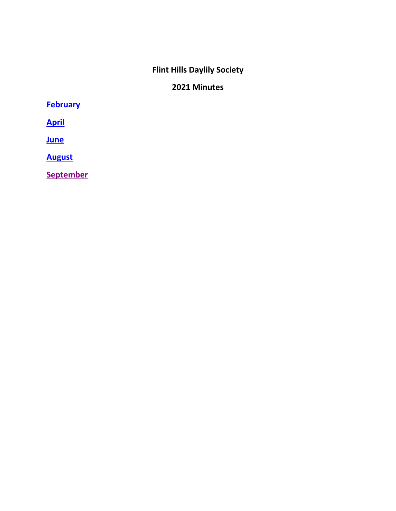# **Flint Hills Daylily Society**

# **2021 Minutes**

<span id="page-0-0"></span>**[February](#page-1-0)**

**[April](#page-3-0)**

**[June](#page-7-0)**

**[August](#page-11-0)**

**[September](#page-16-0)**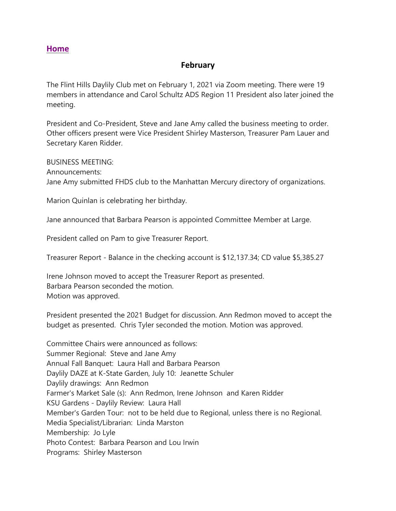#### **February**

<span id="page-1-0"></span>The Flint Hills Daylily Club met on February 1, 2021 via Zoom meeting. There were 19 members in attendance and Carol Schultz ADS Region 11 President also later joined the meeting.

President and Co-President, Steve and Jane Amy called the business meeting to order. Other officers present were Vice President Shirley Masterson, Treasurer Pam Lauer and Secretary Karen Ridder.

BUSINESS MEETING:

Announcements: Jane Amy submitted FHDS club to the Manhattan Mercury directory of organizations.

Marion Quinlan is celebrating her birthday.

Jane announced that Barbara Pearson is appointed Committee Member at Large.

President called on Pam to give Treasurer Report.

Treasurer Report - Balance in the checking account is \$12,137.34; CD value \$5,385.27

Irene Johnson moved to accept the Treasurer Report as presented. Barbara Pearson seconded the motion. Motion was approved.

President presented the 2021 Budget for discussion. Ann Redmon moved to accept the budget as presented. Chris Tyler seconded the motion. Motion was approved.

Committee Chairs were announced as follows: Summer Regional: Steve and Jane Amy Annual Fall Banquet: Laura Hall and Barbara Pearson Daylily DAZE at K-State Garden, July 10: Jeanette Schuler Daylily drawings: Ann Redmon Farmer's Market Sale (s): Ann Redmon, Irene Johnson and Karen Ridder KSU Gardens - Daylily Review: Laura Hall Member's Garden Tour: not to be held due to Regional, unless there is no Regional. Media Specialist/Librarian: Linda Marston Membership: Jo Lyle Photo Contest: Barbara Pearson and Lou Irwin Programs: Shirley Masterson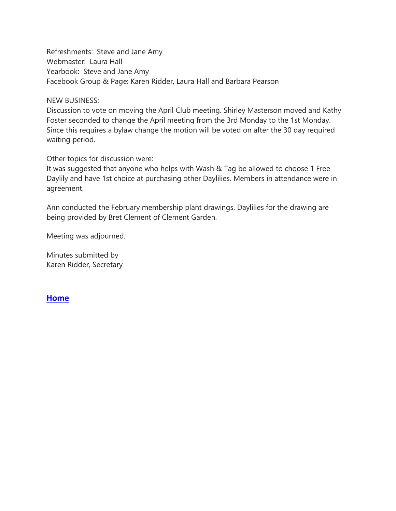Refreshments: Steve and Jane Amy Webmaster: Laura Hall Yearbook: Steve and Jane Amy Facebook Group & Page: Karen Ridder, Laura Hall and Barbara Pearson

#### NEW BUSINESS:

Discussion to vote on moving the April Club meeting. Shirley Masterson moved and Kathy Foster seconded to change the April meeting from the 3rd Monday to the 1st Monday. Since this requires a bylaw change the motion will be voted on after the 30 day required waiting period.

Other topics for discussion were:

It was suggested that anyone who helps with Wash & Tag be allowed to choose 1 Free Daylily and have 1st choice at purchasing other Daylilies. Members in attendance were in agreement.

Ann conducted the February membership plant drawings. Daylilies for the drawing are being provided by Bret Clement of Clement Garden.

Meeting was adjourned.

Minutes submitted by Karen Ridder, Secretary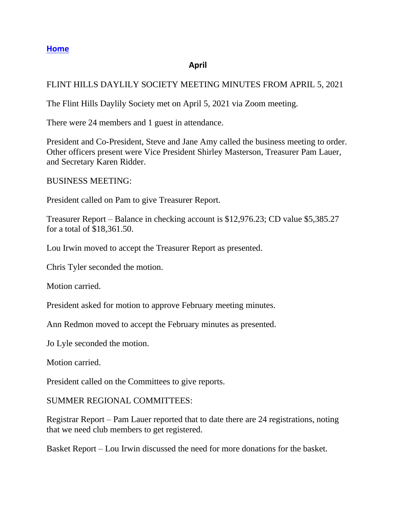## **April**

## <span id="page-3-0"></span>FLINT HILLS DAYLILY SOCIETY MEETING MINUTES FROM APRIL 5, 2021

The Flint Hills Daylily Society met on April 5, 2021 via Zoom meeting.

There were 24 members and 1 guest in attendance.

President and Co-President, Steve and Jane Amy called the business meeting to order. Other officers present were Vice President Shirley Masterson, Treasurer Pam Lauer, and Secretary Karen Ridder.

BUSINESS MEETING:

President called on Pam to give Treasurer Report.

Treasurer Report – Balance in checking account is \$12,976.23; CD value \$5,385.27 for a total of \$18,361.50.

Lou Irwin moved to accept the Treasurer Report as presented.

Chris Tyler seconded the motion.

Motion carried.

President asked for motion to approve February meeting minutes.

Ann Redmon moved to accept the February minutes as presented.

Jo Lyle seconded the motion.

Motion carried.

President called on the Committees to give reports.

SUMMER REGIONAL COMMITTEES:

Registrar Report – Pam Lauer reported that to date there are 24 registrations, noting that we need club members to get registered.

Basket Report – Lou Irwin discussed the need for more donations for the basket.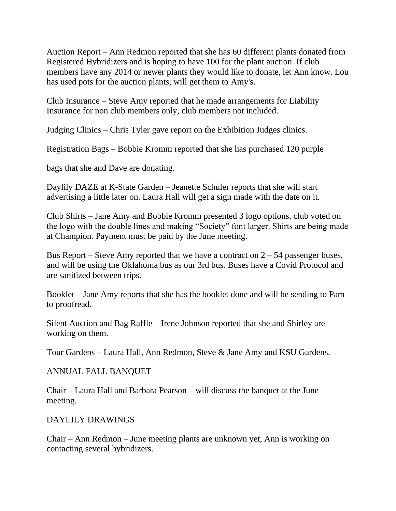Auction Report – Ann Redmon reported that she has 60 different plants donated from Registered Hybridizers and is hoping to have 100 for the plant auction. If club members have any 2014 or newer plants they would like to donate, let Ann know. Lou has used pots for the auction plants, will get them to Amy's.

Club Insurance – Steve Amy reported that he made arrangements for Liability Insurance for non club members only, club members not included.

Judging Clinics – Chris Tyler gave report on the Exhibition Judges clinics.

Registration Bags – Bobbie Kromm reported that she has purchased 120 purple

bags that she and Dave are donating.

Daylily DAZE at K-State Garden – Jeanette Schuler reports that she will start advertising a little later on. Laura Hall will get a sign made with the date on it.

Club Shirts – Jane Amy and Bobbie Kromm presented 3 logo options, club voted on the logo with the double lines and making "Society" font larger. Shirts are being made at Champion. Payment must be paid by the June meeting.

Bus Report – Steve Amy reported that we have a contract on  $2 - 54$  passenger buses, and will be using the Oklahoma bus as our 3rd bus. Buses have a Covid Protocol and are sanitized between trips.

Booklet – Jane Amy reports that she has the booklet done and will be sending to Pam to proofread.

Silent Auction and Bag Raffle – Irene Johnson reported that she and Shirley are working on them.

Tour Gardens – Laura Hall, Ann Redmon, Steve & Jane Amy and KSU Gardens.

## ANNUAL FALL BANQUET

Chair – Laura Hall and Barbara Pearson – will discuss the banquet at the June meeting.

## DAYLILY DRAWINGS

Chair – Ann Redmon – June meeting plants are unknown yet, Ann is working on contacting several hybridizers.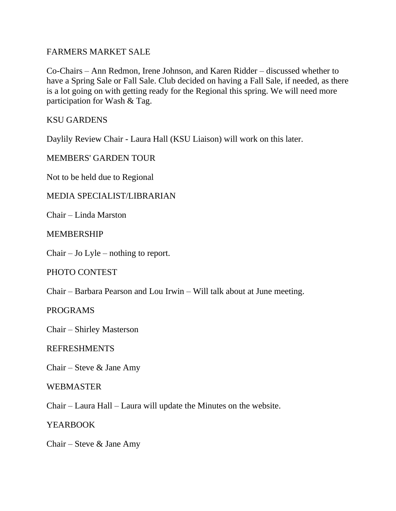## FARMERS MARKET SALE

Co-Chairs – Ann Redmon, Irene Johnson, and Karen Ridder – discussed whether to have a Spring Sale or Fall Sale. Club decided on having a Fall Sale, if needed, as there is a lot going on with getting ready for the Regional this spring. We will need more participation for Wash & Tag.

KSU GARDENS

Daylily Review Chair - Laura Hall (KSU Liaison) will work on this later.

MEMBERS' GARDEN TOUR

Not to be held due to Regional

## MEDIA SPECIALIST/LIBRARIAN

Chair – Linda Marston

## MEMBERSHIP

Chair – Jo Lyle – nothing to report.

## PHOTO CONTEST

Chair – Barbara Pearson and Lou Irwin – Will talk about at June meeting.

PROGRAMS

Chair – Shirley Masterson

#### REFRESHMENTS

Chair – Steve & Jane Amy

#### WEBMASTER

Chair – Laura Hall – Laura will update the Minutes on the website.

YEARBOOK

Chair – Steve & Jane Amy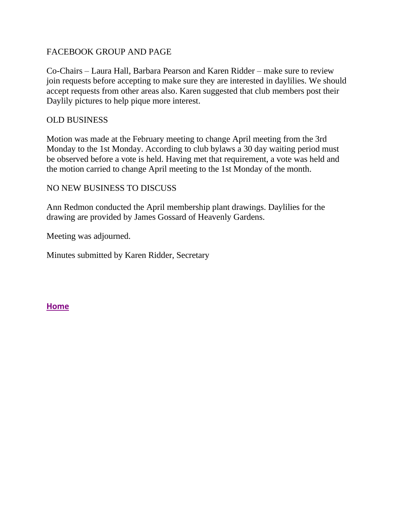## FACEBOOK GROUP AND PAGE

Co-Chairs – Laura Hall, Barbara Pearson and Karen Ridder – make sure to review join requests before accepting to make sure they are interested in daylilies. We should accept requests from other areas also. Karen suggested that club members post their Daylily pictures to help pique more interest.

## OLD BUSINESS

Motion was made at the February meeting to change April meeting from the 3rd Monday to the 1st Monday. According to club bylaws a 30 day waiting period must be observed before a vote is held. Having met that requirement, a vote was held and the motion carried to change April meeting to the 1st Monday of the month.

## NO NEW BUSINESS TO DISCUSS

Ann Redmon conducted the April membership plant drawings. Daylilies for the drawing are provided by James Gossard of Heavenly Gardens.

Meeting was adjourned.

Minutes submitted by Karen Ridder, Secretary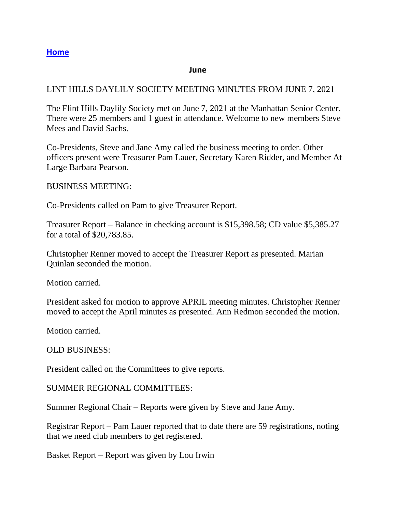#### **June**

## <span id="page-7-0"></span>LINT HILLS DAYLILY SOCIETY MEETING MINUTES FROM JUNE 7, 2021

The Flint Hills Daylily Society met on June 7, 2021 at the Manhattan Senior Center. There were 25 members and 1 guest in attendance. Welcome to new members Steve Mees and David Sachs.

Co-Presidents, Steve and Jane Amy called the business meeting to order. Other officers present were Treasurer Pam Lauer, Secretary Karen Ridder, and Member At Large Barbara Pearson.

BUSINESS MEETING:

Co-Presidents called on Pam to give Treasurer Report.

Treasurer Report – Balance in checking account is \$15,398.58; CD value \$5,385.27 for a total of \$20,783.85.

Christopher Renner moved to accept the Treasurer Report as presented. Marian Quinlan seconded the motion.

Motion carried.

President asked for motion to approve APRIL meeting minutes. Christopher Renner moved to accept the April minutes as presented. Ann Redmon seconded the motion.

Motion carried.

OLD BUSINESS:

President called on the Committees to give reports.

SUMMER REGIONAL COMMITTEES:

Summer Regional Chair – Reports were given by Steve and Jane Amy.

Registrar Report – Pam Lauer reported that to date there are 59 registrations, noting that we need club members to get registered.

Basket Report – Report was given by Lou Irwin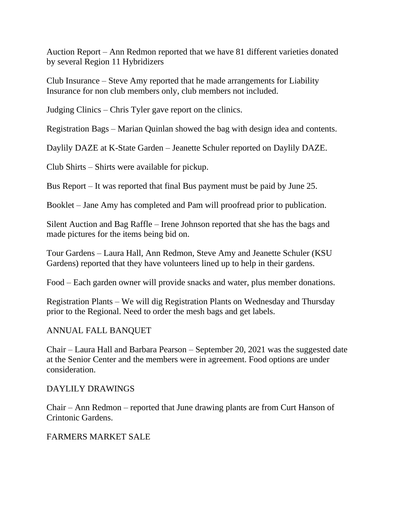Auction Report – Ann Redmon reported that we have 81 different varieties donated by several Region 11 Hybridizers

Club Insurance – Steve Amy reported that he made arrangements for Liability Insurance for non club members only, club members not included.

Judging Clinics – Chris Tyler gave report on the clinics.

Registration Bags – Marian Quinlan showed the bag with design idea and contents.

Daylily DAZE at K-State Garden – Jeanette Schuler reported on Daylily DAZE.

Club Shirts – Shirts were available for pickup.

Bus Report – It was reported that final Bus payment must be paid by June 25.

Booklet – Jane Amy has completed and Pam will proofread prior to publication.

Silent Auction and Bag Raffle – Irene Johnson reported that she has the bags and made pictures for the items being bid on.

Tour Gardens – Laura Hall, Ann Redmon, Steve Amy and Jeanette Schuler (KSU Gardens) reported that they have volunteers lined up to help in their gardens.

Food – Each garden owner will provide snacks and water, plus member donations.

Registration Plants – We will dig Registration Plants on Wednesday and Thursday prior to the Regional. Need to order the mesh bags and get labels.

## ANNUAL FALL BANQUET

Chair – Laura Hall and Barbara Pearson – September 20, 2021 was the suggested date at the Senior Center and the members were in agreement. Food options are under consideration.

#### DAYLILY DRAWINGS

Chair – Ann Redmon – reported that June drawing plants are from Curt Hanson of Crintonic Gardens.

## FARMERS MARKET SALE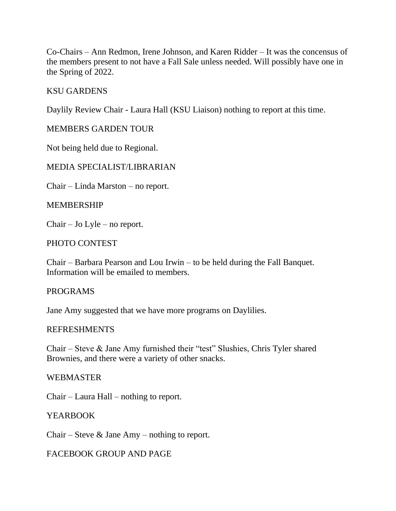Co-Chairs – Ann Redmon, Irene Johnson, and Karen Ridder – It was the concensus of the members present to not have a Fall Sale unless needed. Will possibly have one in the Spring of 2022.

#### KSU GARDENS

Daylily Review Chair - Laura Hall (KSU Liaison) nothing to report at this time.

## MEMBERS GARDEN TOUR

Not being held due to Regional.

## MEDIA SPECIALIST/LIBRARIAN

Chair – Linda Marston – no report.

#### MEMBERSHIP

Chair – Jo Lyle – no report.

#### PHOTO CONTEST

Chair – Barbara Pearson and Lou Irwin – to be held during the Fall Banquet. Information will be emailed to members.

#### PROGRAMS

Jane Amy suggested that we have more programs on Daylilies.

#### REFRESHMENTS

Chair – Steve & Jane Amy furnished their "test" Slushies, Chris Tyler shared Brownies, and there were a variety of other snacks.

#### WEBMASTER

Chair – Laura Hall – nothing to report.

#### YEARBOOK

Chair – Steve  $\&$  Jane Amy – nothing to report.

#### FACEBOOK GROUP AND PAGE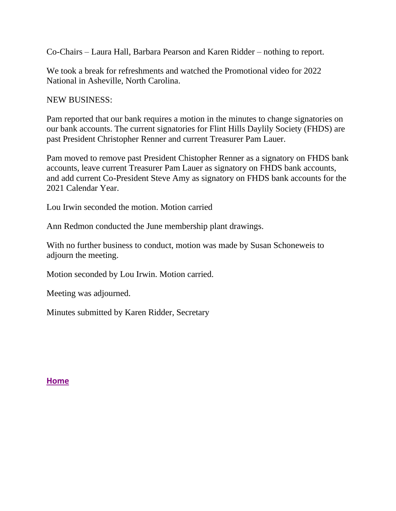Co-Chairs – Laura Hall, Barbara Pearson and Karen Ridder – nothing to report.

We took a break for refreshments and watched the Promotional video for 2022 National in Asheville, North Carolina.

NEW BUSINESS:

Pam reported that our bank requires a motion in the minutes to change signatories on our bank accounts. The current signatories for Flint Hills Daylily Society (FHDS) are past President Christopher Renner and current Treasurer Pam Lauer.

Pam moved to remove past President Chistopher Renner as a signatory on FHDS bank accounts, leave current Treasurer Pam Lauer as signatory on FHDS bank accounts, and add current Co-President Steve Amy as signatory on FHDS bank accounts for the 2021 Calendar Year.

Lou Irwin seconded the motion. Motion carried

Ann Redmon conducted the June membership plant drawings.

With no further business to conduct, motion was made by Susan Schoneweis to adjourn the meeting.

Motion seconded by Lou Irwin. Motion carried.

Meeting was adjourned.

Minutes submitted by Karen Ridder, Secretary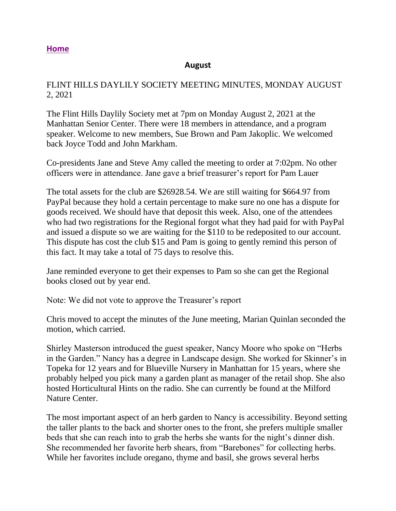#### **August**

## <span id="page-11-0"></span>FLINT HILLS DAYLILY SOCIETY MEETING MINUTES, MONDAY AUGUST 2, 2021

The Flint Hills Daylily Society met at 7pm on Monday August 2, 2021 at the Manhattan Senior Center. There were 18 members in attendance, and a program speaker. Welcome to new members, Sue Brown and Pam Jakoplic. We welcomed back Joyce Todd and John Markham.

Co-presidents Jane and Steve Amy called the meeting to order at 7:02pm. No other officers were in attendance. Jane gave a brief treasurer's report for Pam Lauer

The total assets for the club are \$26928.54. We are still waiting for \$664.97 from PayPal because they hold a certain percentage to make sure no one has a dispute for goods received. We should have that deposit this week. Also, one of the attendees who had two registrations for the Regional forgot what they had paid for with PayPal and issued a dispute so we are waiting for the \$110 to be redeposited to our account. This dispute has cost the club \$15 and Pam is going to gently remind this person of this fact. It may take a total of 75 days to resolve this.

Jane reminded everyone to get their expenses to Pam so she can get the Regional books closed out by year end.

Note: We did not vote to approve the Treasurer's report

Chris moved to accept the minutes of the June meeting, Marian Quinlan seconded the motion, which carried.

Shirley Masterson introduced the guest speaker, Nancy Moore who spoke on "Herbs in the Garden." Nancy has a degree in Landscape design. She worked for Skinner's in Topeka for 12 years and for Blueville Nursery in Manhattan for 15 years, where she probably helped you pick many a garden plant as manager of the retail shop. She also hosted Horticultural Hints on the radio. She can currently be found at the Milford Nature Center.

The most important aspect of an herb garden to Nancy is accessibility. Beyond setting the taller plants to the back and shorter ones to the front, she prefers multiple smaller beds that she can reach into to grab the herbs she wants for the night's dinner dish. She recommended her favorite herb shears, from "Barebones" for collecting herbs. While her favorites include oregano, thyme and basil, she grows several herbs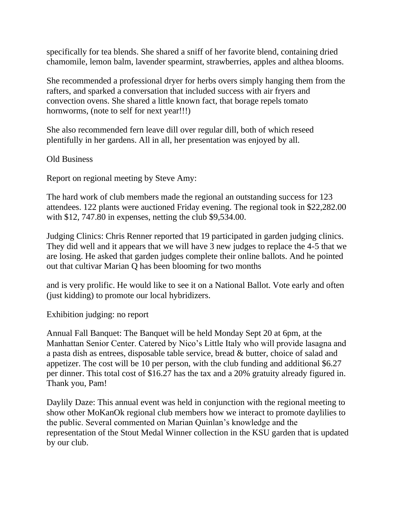specifically for tea blends. She shared a sniff of her favorite blend, containing dried chamomile, lemon balm, lavender spearmint, strawberries, apples and althea blooms.

She recommended a professional dryer for herbs overs simply hanging them from the rafters, and sparked a conversation that included success with air fryers and convection ovens. She shared a little known fact, that borage repels tomato hornworms, (note to self for next year!!!)

She also recommended fern leave dill over regular dill, both of which reseed plentifully in her gardens. All in all, her presentation was enjoyed by all.

Old Business

Report on regional meeting by Steve Amy:

The hard work of club members made the regional an outstanding success for 123 attendees. 122 plants were auctioned Friday evening. The regional took in \$22,282.00 with \$12, 747.80 in expenses, netting the club \$9,534.00.

Judging Clinics: Chris Renner reported that 19 participated in garden judging clinics. They did well and it appears that we will have 3 new judges to replace the 4-5 that we are losing. He asked that garden judges complete their online ballots. And he pointed out that cultivar Marian Q has been blooming for two months

and is very prolific. He would like to see it on a National Ballot. Vote early and often (just kidding) to promote our local hybridizers.

Exhibition judging: no report

Annual Fall Banquet: The Banquet will be held Monday Sept 20 at 6pm, at the Manhattan Senior Center. Catered by Nico's Little Italy who will provide lasagna and a pasta dish as entrees, disposable table service, bread & butter, choice of salad and appetizer. The cost will be 10 per person, with the club funding and additional \$6.27 per dinner. This total cost of \$16.27 has the tax and a 20% gratuity already figured in. Thank you, Pam!

Daylily Daze: This annual event was held in conjunction with the regional meeting to show other MoKanOk regional club members how we interact to promote daylilies to the public. Several commented on Marian Quinlan's knowledge and the representation of the Stout Medal Winner collection in the KSU garden that is updated by our club.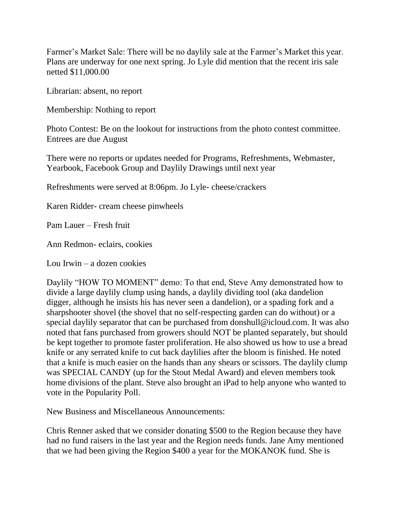Farmer's Market Sale: There will be no daylily sale at the Farmer's Market this year. Plans are underway for one next spring. Jo Lyle did mention that the recent iris sale netted \$11,000.00

Librarian: absent, no report

Membership: Nothing to report

Photo Contest: Be on the lookout for instructions from the photo contest committee. Entrees are due August

There were no reports or updates needed for Programs, Refreshments, Webmaster, Yearbook, Facebook Group and Daylily Drawings until next year

Refreshments were served at 8:06pm. Jo Lyle- cheese/crackers

Karen Ridder- cream cheese pinwheels

Pam Lauer – Fresh fruit

Ann Redmon- eclairs, cookies

Lou Irwin – a dozen cookies

Daylily "HOW TO MOMENT" demo: To that end, Steve Amy demonstrated how to divide a large daylily clump using hands, a daylily dividing tool (aka dandelion digger, although he insists his has never seen a dandelion), or a spading fork and a sharpshooter shovel (the shovel that no self-respecting garden can do without) or a special daylily separator that can be purchased from donshull@icloud.com. It was also noted that fans purchased from growers should NOT be planted separately, but should be kept together to promote faster proliferation. He also showed us how to use a bread knife or any serrated knife to cut back daylilies after the bloom is finished. He noted that a knife is much easier on the hands than any shears or scissors. The daylily clump was SPECIAL CANDY (up for the Stout Medal Award) and eleven members took home divisions of the plant. Steve also brought an iPad to help anyone who wanted to vote in the Popularity Poll.

New Business and Miscellaneous Announcements:

Chris Renner asked that we consider donating \$500 to the Region because they have had no fund raisers in the last year and the Region needs funds. Jane Amy mentioned that we had been giving the Region \$400 a year for the MOKANOK fund. She is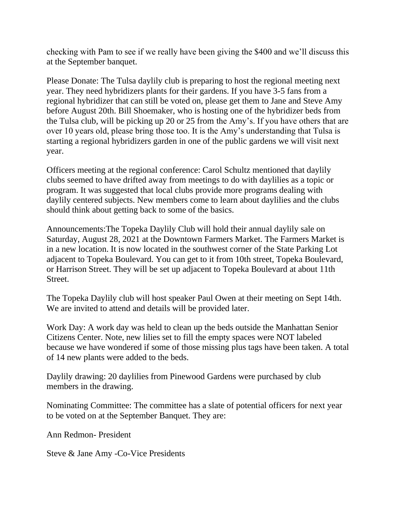checking with Pam to see if we really have been giving the \$400 and we'll discuss this at the September banquet.

Please Donate: The Tulsa daylily club is preparing to host the regional meeting next year. They need hybridizers plants for their gardens. If you have 3-5 fans from a regional hybridizer that can still be voted on, please get them to Jane and Steve Amy before August 20th. Bill Shoemaker, who is hosting one of the hybridizer beds from the Tulsa club, will be picking up 20 or 25 from the Amy's. If you have others that are over 10 years old, please bring those too. It is the Amy's understanding that Tulsa is starting a regional hybridizers garden in one of the public gardens we will visit next year.

Officers meeting at the regional conference: Carol Schultz mentioned that daylily clubs seemed to have drifted away from meetings to do with daylilies as a topic or program. It was suggested that local clubs provide more programs dealing with daylily centered subjects. New members come to learn about daylilies and the clubs should think about getting back to some of the basics.

Announcements:The Topeka Daylily Club will hold their annual daylily sale on Saturday, August 28, 2021 at the Downtown Farmers Market. The Farmers Market is in a new location. It is now located in the southwest corner of the State Parking Lot adjacent to Topeka Boulevard. You can get to it from 10th street, Topeka Boulevard, or Harrison Street. They will be set up adjacent to Topeka Boulevard at about 11th Street.

The Topeka Daylily club will host speaker Paul Owen at their meeting on Sept 14th. We are invited to attend and details will be provided later.

Work Day: A work day was held to clean up the beds outside the Manhattan Senior Citizens Center. Note, new lilies set to fill the empty spaces were NOT labeled because we have wondered if some of those missing plus tags have been taken. A total of 14 new plants were added to the beds.

Daylily drawing: 20 daylilies from Pinewood Gardens were purchased by club members in the drawing.

Nominating Committee: The committee has a slate of potential officers for next year to be voted on at the September Banquet. They are:

Ann Redmon- President

Steve & Jane Amy -Co-Vice Presidents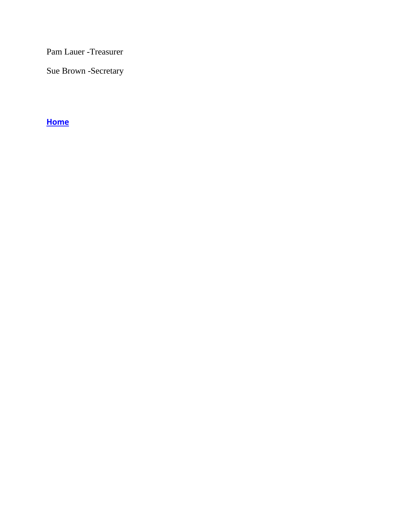Pam Lauer -Treasurer

Sue Brown -Secretary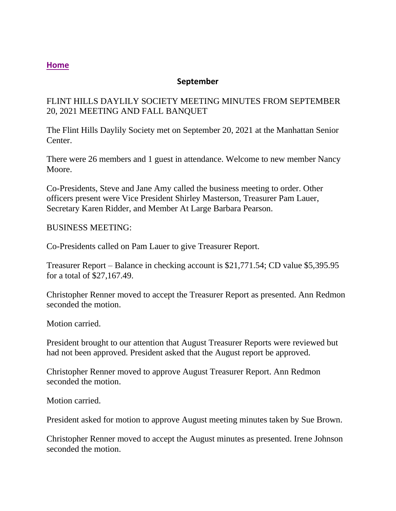## **September**

## <span id="page-16-0"></span>FLINT HILLS DAYLILY SOCIETY MEETING MINUTES FROM SEPTEMBER 20, 2021 MEETING AND FALL BANQUET

The Flint Hills Daylily Society met on September 20, 2021 at the Manhattan Senior Center.

There were 26 members and 1 guest in attendance. Welcome to new member Nancy Moore.

Co-Presidents, Steve and Jane Amy called the business meeting to order. Other officers present were Vice President Shirley Masterson, Treasurer Pam Lauer, Secretary Karen Ridder, and Member At Large Barbara Pearson.

## BUSINESS MEETING:

Co-Presidents called on Pam Lauer to give Treasurer Report.

Treasurer Report – Balance in checking account is \$21,771.54; CD value \$5,395.95 for a total of \$27,167.49.

Christopher Renner moved to accept the Treasurer Report as presented. Ann Redmon seconded the motion

Motion carried.

President brought to our attention that August Treasurer Reports were reviewed but had not been approved. President asked that the August report be approved.

Christopher Renner moved to approve August Treasurer Report. Ann Redmon seconded the motion.

Motion carried.

President asked for motion to approve August meeting minutes taken by Sue Brown.

Christopher Renner moved to accept the August minutes as presented. Irene Johnson seconded the motion.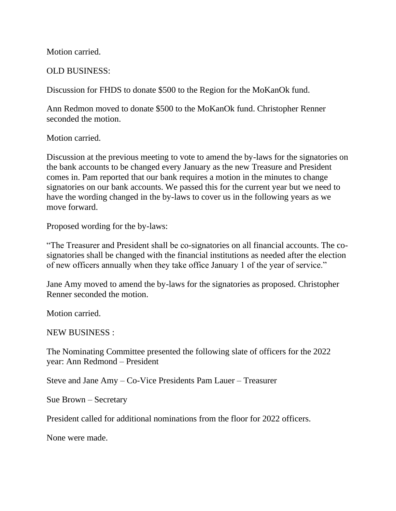Motion carried.

#### OLD BUSINESS:

Discussion for FHDS to donate \$500 to the Region for the MoKanOk fund.

Ann Redmon moved to donate \$500 to the MoKanOk fund. Christopher Renner seconded the motion.

Motion carried.

Discussion at the previous meeting to vote to amend the by-laws for the signatories on the bank accounts to be changed every January as the new Treasure and President comes in. Pam reported that our bank requires a motion in the minutes to change signatories on our bank accounts. We passed this for the current year but we need to have the wording changed in the by-laws to cover us in the following years as we move forward.

Proposed wording for the by-laws:

"The Treasurer and President shall be co-signatories on all financial accounts. The cosignatories shall be changed with the financial institutions as needed after the election of new officers annually when they take office January 1 of the year of service."

Jane Amy moved to amend the by-laws for the signatories as proposed. Christopher Renner seconded the motion.

Motion carried.

NEW BUSINESS :

The Nominating Committee presented the following slate of officers for the 2022 year: Ann Redmond – President

Steve and Jane Amy – Co-Vice Presidents Pam Lauer – Treasurer

Sue Brown – Secretary

President called for additional nominations from the floor for 2022 officers.

None were made.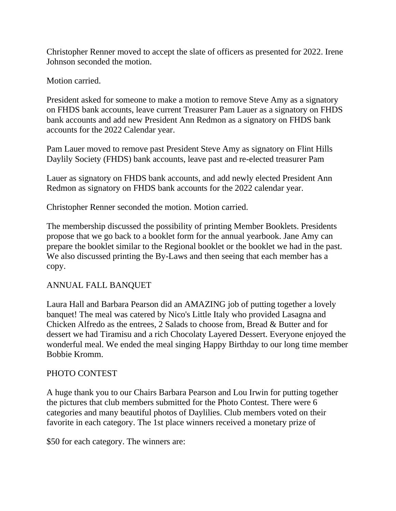Christopher Renner moved to accept the slate of officers as presented for 2022. Irene Johnson seconded the motion.

Motion carried.

President asked for someone to make a motion to remove Steve Amy as a signatory on FHDS bank accounts, leave current Treasurer Pam Lauer as a signatory on FHDS bank accounts and add new President Ann Redmon as a signatory on FHDS bank accounts for the 2022 Calendar year.

Pam Lauer moved to remove past President Steve Amy as signatory on Flint Hills Daylily Society (FHDS) bank accounts, leave past and re-elected treasurer Pam

Lauer as signatory on FHDS bank accounts, and add newly elected President Ann Redmon as signatory on FHDS bank accounts for the 2022 calendar year.

Christopher Renner seconded the motion. Motion carried.

The membership discussed the possibility of printing Member Booklets. Presidents propose that we go back to a booklet form for the annual yearbook. Jane Amy can prepare the booklet similar to the Regional booklet or the booklet we had in the past. We also discussed printing the By-Laws and then seeing that each member has a copy.

# ANNUAL FALL BANQUET

Laura Hall and Barbara Pearson did an AMAZING job of putting together a lovely banquet! The meal was catered by Nico's Little Italy who provided Lasagna and Chicken Alfredo as the entrees, 2 Salads to choose from, Bread & Butter and for dessert we had Tiramisu and a rich Chocolaty Layered Dessert. Everyone enjoyed the wonderful meal. We ended the meal singing Happy Birthday to our long time member Bobbie Kromm.

## PHOTO CONTEST

A huge thank you to our Chairs Barbara Pearson and Lou Irwin for putting together the pictures that club members submitted for the Photo Contest. There were 6 categories and many beautiful photos of Daylilies. Club members voted on their favorite in each category. The 1st place winners received a monetary prize of

\$50 for each category. The winners are: